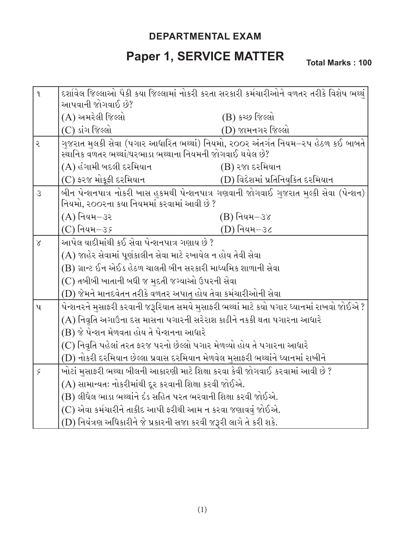## **DEPARTMENTAL EXAM**

## **Paper 1, SERVICE MATTER**

**Total Marks : 100**

| $\mathfrak{q}$ | દર્શાવેલ જિલ્લાઓ પૈકી કયા જિલ્લામાં નોકરી કરતા સરકારી કર્મચારીઓને વળતર તરીકે વિશેષ ભથ્થું<br>આપવાની જોગવાઈ છે?                                |                                   |  |
|----------------|-----------------------------------------------------------------------------------------------------------------------------------------------|-----------------------------------|--|
|                | (A) અમરેલી જિલ્લો                                                                                                                             | (B) કચ્છ જિલ્લો                   |  |
|                | (C) ડાંગ જિલ્લો                                                                                                                               | (D) જામનગર જિલ્લો                 |  |
| ૨              | ગુજરાત મુલકી સેવા (પગાર આધારિત ભથ્થાં) નિયમો, ૨૦૦૨ અંતર્ગત નિયમ–૨૫ હેઠળ કઈ બાબતે<br>સ્થાનિક વળતર ભથ્થાં/ઘરભાડા ભથ્થાના નિયમની જોગવાઈ થયેલ છે? |                                   |  |
|                | (A) હંગામી બદલી દરમિયાન                                                                                                                       | (B) રજા દરમિયાન                   |  |
|                | (C) ફરજ મોકૂફી દરમિયાન                                                                                                                        | (D) વિદેશમાં પ્રતિનિયુકિત દરમિયાન |  |
| $\mathcal{S}$  | બીન પેન્શનપાત્ર નોકરી ખાસ હુકમથી પેન્શનપાત્ર ગણવાની જોગવાઈ ગુજરાત મુલ્કી સેવા (પેન્શન)<br>નિયમો, ૨૦૦૨ના કયા નિયમમાં કરવામાં આવી છે ?          |                                   |  |
|                | (A) નિયમ–૩ર                                                                                                                                   | $(B)$ નિયમ $-$ ૩૪                 |  |
|                | (C) નિયમ-૩ <i>૬</i>                                                                                                                           | (D) નિયમ–૩૮                       |  |
| $\chi$         | આપેલ યાદીમાંથી કઈ સેવા પેન્શનપાત્ર ગણાય છે ?                                                                                                  |                                   |  |
|                | (A) જાહેર સેવામાં પૂર્ણકાલીન સેવા માટે રખાયેલ ન હોય તેવી સેવા                                                                                 |                                   |  |
|                | (B) ગ્રાન્ટ ઈન એઈડ હેઠળ ચાલતી બીન સરકારી માધ્યમિક શાળાની સેવા                                                                                 |                                   |  |
|                | (C) તબીબી ખાતાની બધી જ મુદતી જગ્યાઓ ઉપરની સેવા                                                                                                |                                   |  |
|                | (D) જેમને માનદવેતન તરીકે વળતર અપાતુ હોય તેવા કર્મચારીઓની સેવા                                                                                 |                                   |  |
| $\mathbf{u}$   | પેન્શનરને મુસાફરી કરવાની જરૂરિયાત સમયે મુસાફરી ભથ્થાં માટે કયો પગાર ધ્યાનમાં રાખવો જોઈએ ?                                                     |                                   |  |
|                | (A) નિવૃતિ અગાઉના દસ માસના પગારની સરેરાશ કાઢીને નકકી થતા પગારના આધારે                                                                         |                                   |  |
|                | (B) જે પેન્શન મેળવતા હોય તે પેન્શનના આધારે                                                                                                    |                                   |  |
|                | (C) નિવૃતિ પહેલાં તરત ફરજ પરનો છેલ્લો પગાર મેળવ્યો હોય તે પગારના આધારે                                                                        |                                   |  |
|                | (D) નોકરી દરમિયાન છેલ્લા પ્રવાસ દરમિયાન મેળવેલ મુસાફરી ભથ્થાંને ધ્યાનમાં રાખીને                                                               |                                   |  |
| $\varsigma$    | ખોટાં મુસાફરી ભથ્થા બીલની આકારણી માટે શિક્ષા કરવા કેવી જોગવાઈ કરવામાં આવી છે ?                                                                |                                   |  |
|                | (A) સામાન્યતઃ નોકરીમાંથી દૂર કરવાની શિક્ષા કરવી જોઈએ.                                                                                         |                                   |  |
|                | (B) લીધેલ ભાડા ભથ્થાંને દંડ સહિત પરત ભરવાની શિક્ષા કરવી જોઈએ.                                                                                 |                                   |  |
|                | (C) એવા કર્મચારીને તાકીદ આપી ફરીથી આમ ન કરવા જણાવવું જોઈએ.                                                                                    |                                   |  |
|                | (D) નિયંત્રણ અધિકારીને જે પ્રકારની સજા કરવી જરૂરી લાગે તે કરી શકે.                                                                            |                                   |  |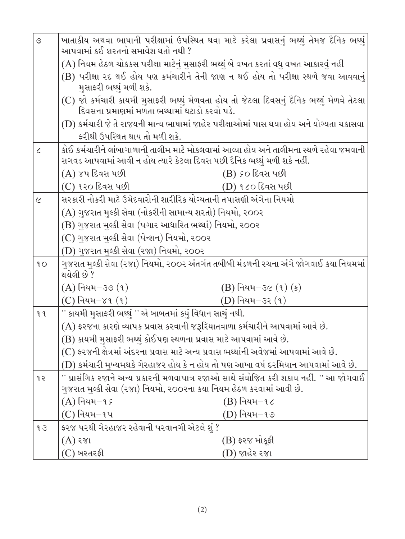| $\circ$               | ખાતાકીય અથવા ભાષાની પરીક્ષામાં ઉપસ્થિત થવા માટે કરેલા પ્રવાસનું ભથ્થું તેમજ દૈનિક ભથ્થું<br>આપવામાં કઈ શરતનો સમાવેશ થતો નથી ? |                        |  |
|-----------------------|-------------------------------------------------------------------------------------------------------------------------------|------------------------|--|
|                       | (A) નિયમ હેઠળ ચોકકસ પરીક્ષા માટેનું મુસાફરી ભથ્થું બે વખત કરતાં વધુ વખત આકારવું નહીં                                          |                        |  |
|                       | (B) પરીક્ષા ૨દ થઈ હોય પણ કર્મચારીને તેની જાણ ન થઈ હોય તો પરીક્ષા સ્થળે જવા આવવાનું                                            |                        |  |
|                       | મુસાફરી ભથ્થું મળી શકે.                                                                                                       |                        |  |
|                       | (C) જો કર્મચારી કાયમી મુસાફરી ભથ્થું મેળવતા હોય તો જેટલા દિવસનું દૈનિક ભથ્થું મેળવે તેટલા                                     |                        |  |
|                       | દિવસના પ્રમાણમાં મળતા ભથ્થામાં ઘટાડો કરવો પડે.                                                                                |                        |  |
|                       | (D) કર્મચારી જે તે રાજયની માન્ય ભાષામાં જાહેર પરીક્ષાઓમાં પાસ થયા હોય અને યોગ્યતા ચકાસવા                                      |                        |  |
|                       | ફરીથી ઉપસ્થિત થાય તો મળી શકે.                                                                                                 |                        |  |
| $\epsilon$            | કોઈ કર્મચારીને લાંબાગાળાની તાલીમ માટે મોકલવામાં આવ્યા હોય અને તાલીમના સ્થળે રહેવા જમવાની                                      |                        |  |
|                       | સગવડ આપવામાં આવી ન હોય ત્યારે કેટલા દિવસ પછી દૈનિક ભથ્થું મળી શકે નહીં.                                                       |                        |  |
|                       | (A) ૪૫ દિવસ પછી                                                                                                               | (B) ૬૦ દિવસ પછી        |  |
|                       | (C) ૧૨૦ દિવસ પછી                                                                                                              | (D) ૧૮૦ દિવસ પછી       |  |
| $\tilde{\mathcal{L}}$ | સરકારી નોકરી માટે ઉમેદવારોની શારીરિક યોગ્યતાની તપાસણી અંગેના નિયમો                                                            |                        |  |
|                       | (A) ગુજરાત મુલ્કી સેવા (નોકરીની સામાન્ય શરતો) નિયમો, ૨૦૦૨                                                                     |                        |  |
|                       | (B) ગુજરાત મુલ્કી સેવા (પગાર આધારિત ભથ્થાં) નિયમો, ૨૦૦૨                                                                       |                        |  |
|                       | (C) ગુજરાત મુલ્કી સેવા (પેન્શન) નિયમો, ૨૦૦૨                                                                                   |                        |  |
|                       | (D) ગુજરાત મુલ્કી સેવા (રજા) નિયમો, ૨૦૦૨                                                                                      |                        |  |
| 10                    | ગુજરાત મુલ્કી સેવા (૨જા) નિયમો, ૨૦૦૨ અંતર્ગત તબીબી મંડળની રચના અંગે જોગવાઈ કયા નિયમમાં<br>થયેલી છે ?                          |                        |  |
|                       | $(A)$ નિયમ $-$ ૩૭ $(1)$                                                                                                       | $(B)$ નિયમ $-3c(1)(s)$ |  |
|                       | (C) નિયમ $-\gamma_1$ (૧)                                                                                                      | (D) નિયમ–૩૨ (૧)        |  |
| 9 <sup>1</sup>        | '' કાયમી મુસાફરી ભથ્થું '' એ બાબતમાં કયું વિધાન સાચું નથી.                                                                    |                        |  |
|                       | $(A)$ ફરજના કારણે વ્યાપક પ્રવાસ કરવાની જરૂરિયાતવાળા કર્મચારીને આપવામાં આવે છે.                                                |                        |  |
|                       | (B) કાયમી મુસાફરી ભથ્થું કોઈપણ સ્થળના પ્રવાસ માટે આપવામાં આવે છે.                                                             |                        |  |
|                       | (C) ફરજની ક્ષેત્રમાં અંદરના પ્રવાસ માટે અન્ય પ્રવાસ ભથ્થાંની અવેજમાં આપવામાં આવે છે.                                          |                        |  |
|                       | (D) કર્મચારી મુખ્યમથકે ગેરહાજર હોય કે ન હોય તો પણ આખા વર્ષ દરમિયાન આપવામાં આવે છે.                                            |                        |  |
| ૧૨                    | '' પ્રાસંગિક રજાને અન્ય પ્રકારની મળવાપાત્ર રજાઓ સાથે સંયોજિત કરી શકાય નહીં. '' આ જોગવાઈ                                       |                        |  |
|                       | ગુજરાત મુલ્કી સેવા (રજા) નિયમો, ૨૦૦૨ના કયા નિયમ હેઠળ કરવામાં આવી છે.                                                          |                        |  |
|                       | $(A)$ નિયમ $-1$ ક                                                                                                             | $(B)$ નિયમ $-1$ ૮      |  |
|                       | $(C)$ નિયમ $-9$ પ                                                                                                             | (D) નિયમ−૧૭            |  |
| 93                    | ફરજ પરથી ગેરહાજર રહેવાની પરવાનગી એટલે શું ?                                                                                   |                        |  |
|                       | $(A)$ રજા                                                                                                                     | $(B)$ ફરજ મોકૂફી       |  |
|                       | (C) બરતરફી                                                                                                                    | (D) જાહેર રજા          |  |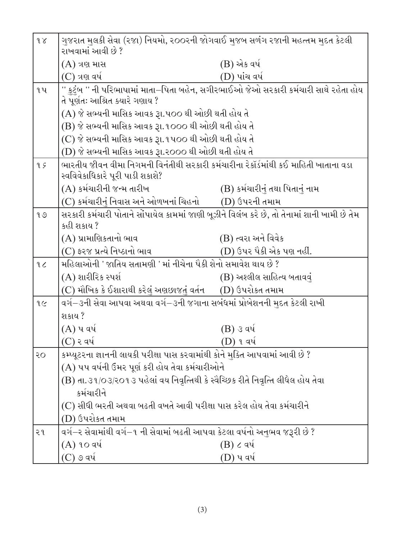| $\delta$       | ગુજરાત મુલકી સેવા (રજા) નિયમો, ર૦૦રની જોગવાઈ મુજબ સળંગ રજાની મહત્તમ મુદત કેટલી<br>રાખવામાં આવી છે ? |                                                    |  |  |
|----------------|-----------------------------------------------------------------------------------------------------|----------------------------------------------------|--|--|
|                | $(A)$ ત્રણ માસ                                                                                      | (B) એક વર્ષ                                        |  |  |
|                | $(C)$ ત્રણ વર્ષ                                                                                     | (D) પાંચ વર્ષ                                      |  |  |
| 9 <sup>u</sup> | '' કુટુંબ '' ની પરિભાષામાં માતા–પિતા બહેન, સગીરભાઈઓ જેઓ સરકારી કર્મચારી સાથે રહેતા હોય              |                                                    |  |  |
|                | તે પૂર્ણતઃ આશ્રિત ક્યારે ગણાય ?                                                                     |                                                    |  |  |
|                | (A) જે સભ્યની માસિક આવક રૂા.પ૦૦ થી ઓછી થતી હોય તે                                                   |                                                    |  |  |
|                | (B) જે સભ્યની માસિક આવક રૂા.૧૦૦૦ થી ઓછી થતી હોય તે                                                  |                                                    |  |  |
|                |                                                                                                     | (C) જે સભ્યની માસિક આવક રૂા.૧૫૦૦ થી ઓછી થતી હોય તે |  |  |
|                | (D) જે સભ્યની માસિક આવક રૂા.૨૦૦૦ થી ઓછી થતી હોય તે                                                  |                                                    |  |  |
| 95             | ભારતીય જીવન વીમા નિગમની વિનંતીથી સરકારી કર્મચારીના રેકૉર્ડમાંથી કઈ માહિતી ખાતાના વડા                |                                                    |  |  |
|                | સ્વવિવેકાધિકારે પૂરી પાડી શકાશે?                                                                    |                                                    |  |  |
|                | (A) કર્મચારીની જન્મ તારીખ                                                                           | (B) કર્મચારીનું તથા પિતાનું નામ                    |  |  |
|                | (C) કર્મચારીનું નિવાસ અને ઓળખનાં ચિહનો         (D) ઉપરની તમામ                                       |                                                    |  |  |
| 90             | સરકારી કર્મચારી પોતાને સોંપાયેલ કામમાં જાણી બૂઝીને વિલંબ કરે છે, તો તેનામાં શાની ખામી છે તેમ        |                                                    |  |  |
|                | કહી શકાય ?                                                                                          |                                                    |  |  |
|                | (A) પ્રામાણિકતાનો ભાવ                                                                               | (B) ત્વરા અને વિવેક                                |  |  |
|                | (C) ફરજ પ્રત્યે નિષ્ઠાનો ભાવ                                                                        | (D) ઉપર પૈકી એક પણ નહીં.                           |  |  |
| 20             | મહિલાઓની ' જાતિય સતામણી ' માં નીચેના પૈકી શેનો સમાવેશ થાય છે ?                                      |                                                    |  |  |
|                | (A) શારીરિક સ્પર્શ                                                                                  | (B) અશ્લીલ સાહિત્ય બતાવવું                         |  |  |
|                | (C) મૌખિક કે ઈશારાથી કરેલું અણછાજતું વર્તન      (D) ઉપરોકત તમામ                                     |                                                    |  |  |
| 9C             | વર્ગ—૩ની સેવા આપવા અથવા વર્ગ—૩ની જગાના સબંધમાં પ્રોબેશનની મુદત કેટલી રાખી                           |                                                    |  |  |
|                | શકાય ?                                                                                              |                                                    |  |  |
|                | $(A)$ ૫ વર્ષ                                                                                        | (B) ૩ વર્ષ                                         |  |  |
|                | (C) ર વર્ષ                                                                                          | D) ૧ વર્ષ                                          |  |  |
| २०             | કમ્પ્યૂટરના જ્ઞાનની લાયકી પરીક્ષા પાસ કરવામાંથી કોને મુક્તિ આપવામાં આવી છે ?                        |                                                    |  |  |
|                | (A) પપ વર્ષની ઉંમર પૂર્ણ કરી હોય તેવા કર્મચારીઓને                                                   |                                                    |  |  |
|                | (B) તા.૩૧/૦૩/૨૦૧૩ પહેલાં વય નિવૃત્તિથી કે સ્વૈચ્છિક રીતે નિવૃત્તિ લીધેલ હોય તેવા                    |                                                    |  |  |
|                | કર્મચારીને                                                                                          |                                                    |  |  |
|                | (C) સીધી ભરતી અથવા બઢતી વખતે આવી પરીક્ષા પાસ કરેલ હોય તેવા કર્મચારીને                               |                                                    |  |  |
|                | (D) ઉપરોકત તમામ                                                                                     |                                                    |  |  |
| २१             | વર્ગ–૨ સેવામાંથી વર્ગ–૧ ની સેવામાં બઢતી આપવા કેટલા વર્ષનો અનુભવ જરૂરી છે ?                          |                                                    |  |  |
|                | $(A)$ ૧૦ વર્ષ                                                                                       | $(B)$ ૮ વર્ષ                                       |  |  |
|                | $(C)$ ૭ વર્ષ                                                                                        | (D) પ વર્ષ                                         |  |  |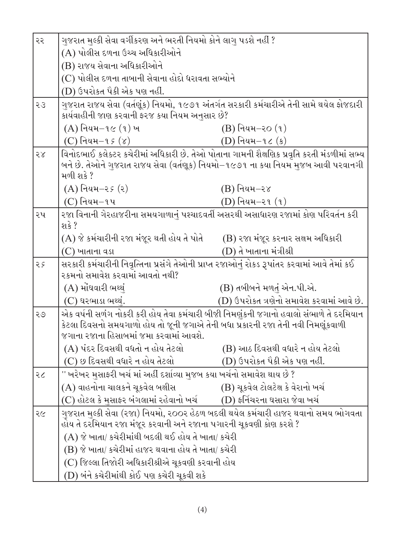| ૨૨ | ગુજરાત મુલ્કી સેવા વર્ગીકરણ અને ભરતી નિયમો કોને લાગુ પડશે નહીં ?<br>(A) પોલીસ દળના ઉચ્ચ અધિકારીઓને                                                                          |                                                                                            |  |
|----|-----------------------------------------------------------------------------------------------------------------------------------------------------------------------------|--------------------------------------------------------------------------------------------|--|
|    |                                                                                                                                                                             |                                                                                            |  |
|    | (B) રાજય સેવાના અધિકારીઓને                                                                                                                                                  |                                                                                            |  |
|    | (C) પોલીસ દળના તાબાની સેવાના હોદો ધરાવતા સભ્યોને                                                                                                                            |                                                                                            |  |
|    | (D) ઉપરોકત પૈકી એક પણ નહીં.                                                                                                                                                 |                                                                                            |  |
| 55 | ગુજરાત રાજય સેવા (વર્તણૂંક) નિયમો, ૧૯૭૧ અંતર્ગત સરકારી કર્મચારીએ તેની સામે થયેલ ફોજદારી                                                                                     |                                                                                            |  |
|    | કાર્યવાહીની જાણ કરવાની ફરજ કયા નિયમ અનુસાર છે?                                                                                                                              |                                                                                            |  |
|    | $(A)$ નિયમ $-$ ૧૯ $(1)$ ખ                                                                                                                                                   | $(B)$ નિયમ–૨૦ $(1)$                                                                        |  |
|    | (C) નિયમ $-q \in (8)$                                                                                                                                                       | $(D)$ નિયમ $-1\zeta(s)$                                                                    |  |
| 58 |                                                                                                                                                                             | વિનોદભાઈ કલેક્ટર કચેરીમાં અધિકારી છે. તેઓ પોતાના ગામની શૈક્ષણિક પ્રવૃતિ કરતી મંડળીમાં સભ્ય |  |
|    |                                                                                                                                                                             | બને છે. તેઓને ગુજરાત રાજય સેવા (વર્તણૂક) નિયમો−૧૯૭૧ ના કયા નિયમ મુજબ આવી પરવાનગી           |  |
|    | મળી શકે ?                                                                                                                                                                   |                                                                                            |  |
|    | $(A)$ નિયમ $-z$ ક $(z)$                                                                                                                                                     | $(B)$ નિયમ $-$ ર $\gamma$                                                                  |  |
|    | $(C)$ નિયમ $-9$ પ                                                                                                                                                           | $(D)$ નિયમ $-$ ૨૧ $(1)$                                                                    |  |
| ૨૫ | રજા વિનાની ગેરહાજરીના સમયગાળાનું પશ્ચાદવર્તી અસરથી અસાધારણ રજામાં કોણ પરિવર્તન કરી                                                                                          |                                                                                            |  |
|    | શકે ?                                                                                                                                                                       |                                                                                            |  |
|    | (A) જે કર્મચારીની રજા મંજૂર થતી હોય તે પોતે                                                                                                                                 | (B) રજા મંજૂર કરનાર સક્ષમ અધિકારી                                                          |  |
|    | $(C)$ ખાતાના વડા                                                                                                                                                            | (D) તે ખાતાના મંત્રીશ્રી                                                                   |  |
| 25 | સરકારી કર્મચારીની નિવૃત્તિના પ્રસંગે તેઓની પ્રાપ્ત રજાઓનું રોકડ રૂપાંતર કરવામાં આવે તેમાં કઈ<br>૨કમનો સમાવેશ કરવામાં આવતો નથી?                                              |                                                                                            |  |
|    | (A) મોંઘવારી ભથ્થું                                                                                                                                                         | (B) તબીબને મળતું એન.પી.એ.                                                                  |  |
|    | $(C)$ ઘરભાડા ભથ્થં.                                                                                                                                                         | (D) ઉપરોકત ત્રણેનો સમાવેશ કરવામાં આવે છે.                                                  |  |
|    |                                                                                                                                                                             |                                                                                            |  |
| २७ | એક વર્ષની સળંગ નોકરી કરી હોય તેવા કર્મચારી બીજી નિમણુંકની જગાનો હવાલો સંભાળે તે દરમિયાન<br>કેટલા દિવસનો સમયગાળો હોય તો જૂની જગાએ તેની બધા પ્રકારની રજા તેની નવી નિમણૂંકવાળી |                                                                                            |  |
|    | જગાના રજાના હિસાબમાં જમા કરવામાં આવશે.                                                                                                                                      |                                                                                            |  |
|    | (A) પંદર દિવસથી વધતો ન હોય તેટલો                                                                                                                                            | (B) આઠ દિવસથી વધારે ન હોય તેટલો                                                            |  |
|    | (C) છ દિવસથી વધારે ન હોય તેટલો                                                                                                                                              | (D) ઉપરોકત પૈકી એક પણ નહીં.                                                                |  |
| २८ | '' ખરેખર મુસાફરી ખર્ચ માં અહીં દર્શાવ્યા મુજબ કયા ખર્ચનો સમાવેશ થાય છે ?                                                                                                    |                                                                                            |  |
|    | (A) વાહનોના ચાલકને ચૂકવેલ બક્ષીસ ્                                                                                                                                          | (B) ચૂકવેલ ટોલટેક્ષ કે વેરાનો ખર્ચ                                                         |  |
|    | (C) હોટલ કે મુસાફર બંગલામાં રહેવાનો ખર્ચ                                                                                                                                    | (D) ફર્નિચરના ઘસારા જેવા ખર્ચ                                                              |  |
| २८ | ગુજરાત મુલ્કી સેવા (રજા) નિયમો, ૨૦૦૨ હેઠળ બદલી થયેલ કર્મચારી હાજર થવાનો સમય ભોગવતા                                                                                          |                                                                                            |  |
|    | હોય તે દરમિયાન રજા મંજૂર કરવાની અને રજાના પગારની ચૂકવણી કોણ કરશે ?                                                                                                          |                                                                                            |  |
|    | (A) જે ખાતા/ કચેરીમાંથી બદલી થઈ હોય તે ખાતા/ કચેરી                                                                                                                          |                                                                                            |  |
|    | (B) જે ખાતા/ કચેરીમાં હાજર થવાના હોય તે ખાતા/ કચેરી                                                                                                                         |                                                                                            |  |
|    | (C) જિલ્લા તિજોરી અધિકારીશ્રીએ ચૂકવણી કરવાની હોય                                                                                                                            |                                                                                            |  |
|    | (D) બંને કચેરીમાંથી કોઈ પણ કચેરી ચૂકવી શકે                                                                                                                                  |                                                                                            |  |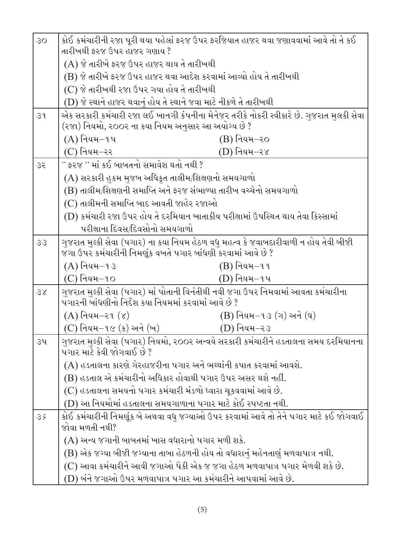| 30 <sub>o</sub> | કોઈ કર્મચારીની રજા પૂરી થયા પહેલાં ફરજ ઉપર ફરજિયાત હાજર થવા જણાવવામાં આવે તો તે કઈ                                                         |  |  |
|-----------------|--------------------------------------------------------------------------------------------------------------------------------------------|--|--|
|                 | તારીખથી ફરજ ઉપર હાજર ગણાય?                                                                                                                 |  |  |
|                 | (A) જે તારીખે ફરજ ઉપર હાજર થાય તે તારીખથી                                                                                                  |  |  |
|                 | (B) જે તારીખે ફરજ ઉપર હાજર થવા આદેશ કરવામાં આવ્યો હોય તે તારીખથી                                                                           |  |  |
|                 | (C) જે તારીખથી રજા ઉપર ગયા હોય તે તારીખથી                                                                                                  |  |  |
|                 | (D) જે સ્થાને હાજર થવાનું હોય તે સ્થાને જવા માટે નીકળે તે તારીખથી                                                                          |  |  |
| 39              | એક સરકારી કર્મચારી રજા લઈ ખાનગી કંપનીના મેનેજર તરીકે નોકરી સ્વીકારે છે. ગુજરાત મુલકી સેવા                                                  |  |  |
|                 | (રજા) નિયમો, ૨૦૦૨ ના કયા નિયમ અનુસાર આ અયોગ્ય છે ?                                                                                         |  |  |
|                 | $(A)$ નિયમ $-1$ પ<br>$(B)$ નિયમ $-$ ર $\circ$                                                                                              |  |  |
|                 | $(C)$ નિયમ $-$ રર<br>(D) નિયમ–ર <i>૪</i>                                                                                                   |  |  |
| 35              | '' ફરજ '' માં કઈ બાબતનો સમાવેશ થતો નથી ?                                                                                                   |  |  |
|                 | (A) સરકારી હુકમ મુજબ અધિકૃત તાલીમ/શિક્ષણનો સમયગાળો                                                                                         |  |  |
|                 | (B) તાલીમ/શિક્ષણની સમાપ્તિ અને ફરજ સંભાળ્યા તારીખ વચ્ચેનો સમયગાળો                                                                          |  |  |
|                 | (C) તાલીમની સમાપ્તિ બાદ આવતી જાહેર રજાઓ                                                                                                    |  |  |
|                 | (D) કર્મચારી રજા ઉપર હોય તે દરમિયાન ખાતાકીય પરીક્ષામાં ઉપસ્થિત થાય તેવા કિસ્સામાં                                                          |  |  |
|                 | પરીક્ષાના દિવસ/દિવસોનો સમયગાળો                                                                                                             |  |  |
| 33              | ગુજરાત મુલ્કી સેવા (પગાર) ના કયા નિયમ હેઠળ વધુ મહત્વ કે જવાબદારીવાળી ન હોય તેવી બીજી                                                       |  |  |
|                 | જગા ઉપર કર્મચારીની નિમણૂંક વખતે પગાર બાંધણી કરવામાં આવે છે ?                                                                               |  |  |
|                 | $(A)$ નિયમ $-93$<br>$(B)$ નિયમ $-$ ૧૧                                                                                                      |  |  |
|                 | $(C)$ નિયમ $-1$ o<br>(D) નિયમ−૧પ                                                                                                           |  |  |
| 38              | ગુજરાત મુલ્કી સેવા (પગાર) માં પોતાની વિનંતીથી નવી જગા ઉપર નિમવામાં આવતા કર્મચારીના<br>પગારની બાંધણીનો નિર્દેશ કયા નિયમમાં કરવામાં આવે છે ? |  |  |
|                 | $(A)$ નિયમ $-$ ૨૧ $(\gamma)$<br>$(B)$ નિયમ $-1$ ૩ (ગ) અને (ઘ)                                                                              |  |  |
|                 | $(C)$ નિયમ $-1$ ૯ (ક) અને (ખ)<br>(D) નિયમ–ર૩                                                                                               |  |  |
| ૩૫              | ગુજરાત મુલ્કી સેવા (પગાર) નિયમો, ૨૦૦૨ અન્વયે સરકારી કર્મચારીને હડતાલના સમય દરમિયાનના<br>પગાર માટે કેવી જોગવાઈ છે ?                         |  |  |
|                 | (A) હડતાલના કારણે ગેરહાજરીના પગાર અને ભથ્થાંની કપાત કરવામાં આવશે.                                                                          |  |  |
|                 | (B) હડતાલ એ કર્મચારીનો અધિકાર હોવાથી પગાર ઉપર અસર થશે નહીં.                                                                                |  |  |
|                 | (C) હડતાલના સમયનો પગાર કર્મચારી મંડળો ધ્વારા ચૂકવવામાં આવે છે.                                                                             |  |  |
|                 | (D) આ નિયમોમાં હડતાલના સમયગાળાના પગાર માટે કોઈ સ્પષ્ટતા નથી.                                                                               |  |  |
| 35              | કોઈ કર્મચારીની નિમણૂંક બે અથવા વધુ જગ્યાઓ ઉપર કરવામાં આવે તો તેને પગાર માટે કઈ જોગવાઈ<br>જોવા મળતી નથી?                                    |  |  |
|                 | $(A)$ અન્ય જગાની બાબતમાં ખાસ વધારાનો પગાર મળી શકે.                                                                                         |  |  |
|                 | (B) એક જગ્યા બીજી જગ્યાના તાબા હેઠળની હોય તો વધારાનું મહેનતાણું મળવાપાત્ર નથી.                                                             |  |  |
|                 | (C) આવા કર્મચારીને આવી જગાઓ પૈકી એક જ જગા હેઠળ મળવાપાત્ર પગાર મેળવી શકે છે.                                                                |  |  |
|                 | (D) બંને જગાઓ ઉપર મળવાપાત્ર પગાર આ કર્મચારીને આપવામાં આવે છે.                                                                              |  |  |
|                 |                                                                                                                                            |  |  |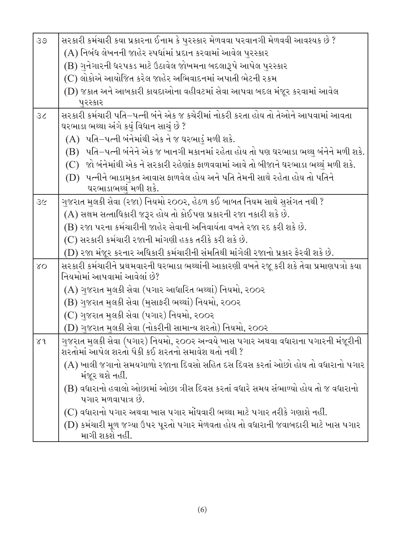| 39       | સરકારી કર્મચારી કયા પ્રકારના ઈનામ કે પુરસ્કાર મેળવવા પરવાનગી મેળવવી આવશ્યક છે ?                                                       |  |  |
|----------|---------------------------------------------------------------------------------------------------------------------------------------|--|--|
|          | (A) નિબંધ લેખનની જાહેર સ્પર્ધામાં પ્રદાન કરવામાં આવેલ પુરસ્કાર                                                                        |  |  |
|          | (B) ગુનેગારની ધરપકડ માટે ઉઠાવેલ જોખમના બદલારૂપે આપેલ પુરસ્કાર                                                                         |  |  |
|          | (C) લોકોએ આયોજિત કરેલ જાહેર અભિવાદનમાં અપાતી ભેટની રકમ                                                                                |  |  |
|          | (D) જકાત અને આબકારી કાયદાઓના વહીવટમાં સેવા આપવા બદલ મંજૂર કરવામાં આવેલ                                                                |  |  |
|          | પુરસ્કાર                                                                                                                              |  |  |
| 36       | સરકારી કર્મચારી પતિ–પત્ની બંને એક જ કચેરીમાં નોકરી કરતા હોય તો તેઓને આપવામાં આવતા<br>ઘરભાડા ભથ્થા અંગે કયું વિધાન સાચું છે ?          |  |  |
|          | $(A)$ પતિ $-$ પત્ની બંનેમાંથી એક ને જ ઘરભાડું મળી શકે.                                                                                |  |  |
|          | (B) પતિ–પત્ની બંનેને એક જ ખાનગી મકાનમાં રહેતા હોય તો પણ ઘરભાડા ભથ્થુ બંનેને મળી શકે.                                                  |  |  |
|          | (C) જો બંનેમાંથી એક ને સરકારી રહેણાંક ફાળવવામાં આવે તો બીજાને ઘરભાડા ભથ્થું મળી શકે.                                                  |  |  |
|          | (D) પત્નીને ભાડા <u>મ</u> કત આવાસ ફાળવેલ હોય અને પતિ તેમની સાથે રહેતા હોય તો પતિને                                                    |  |  |
|          | ઘરભાડાભથ્થં મળી શકે.                                                                                                                  |  |  |
| 36       | ગુજરાત મુલકી સેવા (રજા) નિયમો ૨૦૦૨, હેઠળ કઈ બાબત નિયમ સાથે સુસંગત નથી ?                                                               |  |  |
|          | (A) સક્ષમ સત્તાધિકારી જરૂર હોય તો કોઈપણ પ્રકારની રજા નકારી શકે છે.                                                                    |  |  |
|          | (B) રજા પરના કર્મચારીની જાહેર સેવાની અનિવાર્યતા વખતે રજા રદ કરી શકે છે.                                                               |  |  |
|          | (C) સરકારી કર્મચારી રજાની માંગણી હકક તરીકે કરી શકે છે.                                                                                |  |  |
|          | (D) રજા મંજૂર કરનાર અધિકારી કર્મચારીની સંમતિથી માંગેલી રજાનો પ્રકાર ફેરવી શકે છે.                                                     |  |  |
| $\delta$ | સરકારી કર્મચારીને પ્રથમવારની ઘરભાડા ભથ્થાંની આકારણી વખતે રજૂ કરી શકે તેવા પ્રમાણપત્રો કયા<br>નિયમોમાં આપવામાં આવેલાં છે?              |  |  |
|          | (A) ગુજરાત મુલકી સેવા (પગાર આધારિત ભથ્થાં) નિયમો, ૨૦૦૨                                                                                |  |  |
|          | (B) ગુજરાત મુલકી સેવા (મુસાફરી ભથ્થાં) નિયમો, ૨૦૦૨                                                                                    |  |  |
|          | (C) ગુજરાત મુલકી સેવા (પગાર) નિયમો, ર૦૦ર                                                                                              |  |  |
|          | (D) ગુજરાત મુલકી સેવા (નોકરીની સામાન્ય શરતો) નિયમો, ૨૦૦૨                                                                              |  |  |
| $\chi$ d | ગુજરાત મુલકી સેવા (પગાર) નિયમો, ૨૦૦૨ અન્વયે ખાસ પગાર અથવા વધારાના પગારની મંજૂરીની<br>શરતોમાં આપેલ શરતો પૈકી કઈ શરતનો સમાવેશ થતો નથી ? |  |  |
|          | (A) ખાલી જગાનો સમયગાળો રજાના દિવસો સહિત દસ દિવસ કરતાં ઓછો હોય તો વધારાનો પગાર<br>મંજૂર થશે નહીં.                                      |  |  |
|          | (B) વધારાનો હવાલો ઓછામાં ઓછા ત્રીસ દિવસ કરતાં વધારે સમય સંભાળ્યો હોય તો જ વધારાનો<br>પગાર મળવાપાત્ર છે.                               |  |  |
|          | (C) વધારાનો પગાર અથવા ખાસ પગાર મોંઘવારી ભથ્થા માટે પગાર તરીકે ગણાશે નહીં.                                                             |  |  |
|          | (D) કર્મચારી મૂળ જગ્યા ઉપર પૂરતો પગાર મેળવતા હોય તો વધારાની જવાબદારી માટે ખાસ પગાર<br>માગી શકશે નહીં.                                 |  |  |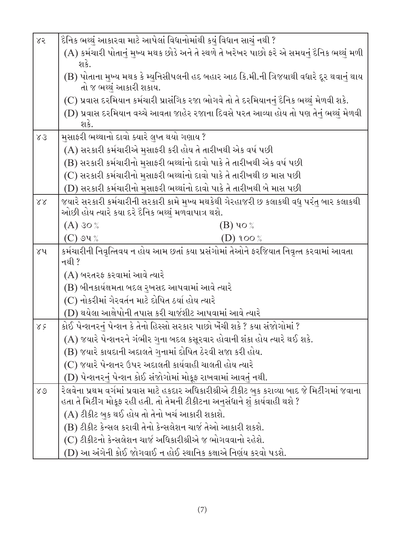| 85 | દૈનિક ભથ્થું આકારવા માટે આપેલાં વિધાનોમાંથી કયું વિધાન સાચું નથી ?                                                                                                          |  |  |
|----|-----------------------------------------------------------------------------------------------------------------------------------------------------------------------------|--|--|
|    | (A) કર્મચારી પોતાનું મુખ્ય મથક છોડે અને તે સ્થળે તે ખરેખર પાછો ફરે એ સમયનું દૈનિક ભથ્થું મળી<br>શકે.                                                                        |  |  |
|    | (B) પોતાના મુખ્ય મથક કે મ્યુનિસીપલની હદ બહાર આઠ કિ.મી.ની ત્રિજયાથી વધારે દૂર થવાનું થાય<br>તો જ ભથ્થું આકારી શકાય.                                                          |  |  |
|    | (C) પ્રવાસ દરમિયાન કર્મચારી પ્રાસંગિક રજા ભોગવે તો તે દરમિયાનનું દૈનિક ભથ્થું મેળવી શકે.                                                                                    |  |  |
|    | (D) પ્રવાસ દરમિયાન વચ્ચે આવતા જાહેર રજાના દિવસે પરત આવ્યા હોય તો પણ તેનું ભથ્થું મેળવી<br>શકે.                                                                              |  |  |
| 83 | મુસાફરી ભથ્થાનો દાવો ક્યારે લુપ્ત થયો ગણાય ?                                                                                                                                |  |  |
|    | (A) સરકારી કર્મચારીએ મુસાફરી કરી હોય તે તારીખથી એક વર્ષ પછી                                                                                                                 |  |  |
|    | (B) સરકારી કર્મચારીનો મુસાફરી ભથ્થાંનો દાવો પાકે તે તારીખથી એક વર્ષ પછી                                                                                                     |  |  |
|    | (C) સરકારી કર્મચારીનો મુસાફરી ભથ્થાંનો દાવો પાકે તે તારીખથી છ માસ પછી                                                                                                       |  |  |
|    | (D) સરકારી કર્મચારીનો મુસાફરી ભથ્થાંનો દાવો પાકે તે તારીખથી બે માસ પછી                                                                                                      |  |  |
| 88 | જયારે સરકારી કર્મચારીની સરકારી કામે મુખ્ય મથકેથી ગેરહાજરી છ કલાકથી વધુ પરંતુ બાર કલાકથી<br>ઓછી હોય ત્યારે કયા દરે દૈનિક ભથ્થું મળવાપાત્ર થશે.                               |  |  |
|    | $(A)$ 30 %<br>(B) ૫૦ %                                                                                                                                                      |  |  |
|    | $(C)$ ૭૫ %<br>(D) ૧૦૦ %                                                                                                                                                     |  |  |
| ४५ | કર્મચારીની નિવૃત્તિવય ન હોય આમ છતાં કયા પ્રસંગોમાં તેઓને ફરજિયાત નિવૃત્ત કરવામાં આવતા<br>નથી ?                                                                              |  |  |
|    | (A) બરતરફ કરવામાં આવે ત્યારે                                                                                                                                                |  |  |
|    | (B) બીનકાર્યક્ષમતા બદલ રુખસદ આપવામાં આવે ત્યારે                                                                                                                             |  |  |
|    | (C) નોકરીમાં ગેરવર્તન માટે દોષિત ઠર્યા હોય ત્યારે                                                                                                                           |  |  |
|    | (D) થયેલા આક્ષેપોની તપાસ કરી ચાર્જશીટ આપવામાં આવે ત્યારે                                                                                                                    |  |  |
| 88 | કોઈ પેન્શનરનું પેન્શન કે તેનો હિસ્સો સરકાર પાછો ખેંચી શકે ? કયા સંજોગોમાં ?                                                                                                 |  |  |
|    | (A) જયારે પેન્શનરને ગંભીર ગુના બદલ કસૂરવાર હોવાની શંકા હોય ત્યારે થઈ શકે.                                                                                                   |  |  |
|    | (B) જયારે કાયદાની અદાલતે ગુનામાં દોષિત ઠેરવી સજા કરી હોય.                                                                                                                   |  |  |
|    | (C) જયારે પેન્શનર ઉપર અદાલતી કાર્યવાહી ચાલતી હોય ત્યારે                                                                                                                     |  |  |
|    | (D) પેન્શનરનું પેન્શન કોઈ સંજોગોમાં મોકૂફ રાખવામાં આવતું નથી.                                                                                                               |  |  |
| 80 | રેલવેના પ્રથમ વર્ગમાં પ્રવાસ માટે હકદાર અધિકારીશ્રીએ ટીકીટ બક કરાવ્યા બાદ જે મિટીંગમાં જવાના<br>હતા તે મિટીંગ મોકૂફ રહી હતી. તો તેમની ટીકીટના અનુસંધાને શું કાર્યવાહી થશે ? |  |  |
|    | (A) ટીકીટ બુક થઈ હોય તો તેનો ખર્ચ આકારી શકાશે.                                                                                                                              |  |  |
|    | (B) ટીકીટ કેન્સલ કરાવી તેનો કેન્સલેશન ચાર્જ તેઓ આકારી શકશે.                                                                                                                 |  |  |
|    | (C) ટીકીટનો કેન્સલેશન ચાર્જ અધિકારીશ્રીએ જ ભોગવવાનો રહેશે.                                                                                                                  |  |  |
|    | (D) આ અંગેની કોઈ જોગવાઈ ન હોઈ સ્થાનિક કક્ષાએ નિર્ણય કરવો પડશે.                                                                                                              |  |  |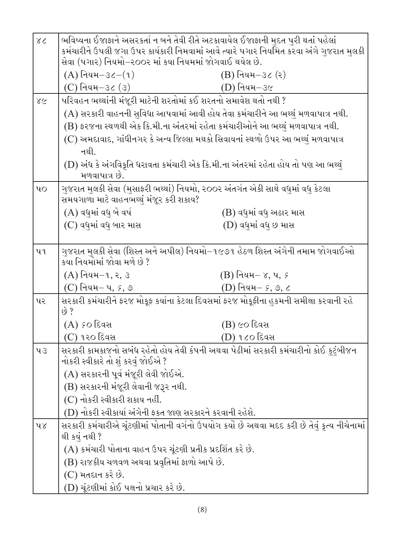| 38                | ભવિષ્યના ઈજાફાને અસરકર્તા ન બને તેવી રીતે અટકાવાયેલ ઈજાફાની મુદત પુરી થતાં પહેલાં<br>કર્મચારીને ઉપલી જગા ઉપર કાર્યકારી નિમવામાં આવે ત્યારે પગાર નિયમિત કરવા અંગે ગુજરાત મુલકી |                         |  |
|-------------------|-------------------------------------------------------------------------------------------------------------------------------------------------------------------------------|-------------------------|--|
|                   | સેવા (પગાર) નિયમો−ર૦૦ર માં કયા નિયમમાં જોગવાઈ થયેલ છે.                                                                                                                        |                         |  |
|                   | $(A)$ નિયમ $-3\zeta-(9)$                                                                                                                                                      | $(B)$ નિયમ $-3$ ૮ (૨)   |  |
|                   | $(C)$ નિયમ $-3$ ૮ $(3)$                                                                                                                                                       | (D) નિયમ-૩૯             |  |
| 28                | પરિવહન ભથ્થાંની મંજૂરી માટેની શરતોમાં કઈ શરતનો સમાવેશ થતો નથી ?                                                                                                               |                         |  |
|                   | (A) સરકારી વાહનની સુવિધા આપવામાં આવી હોય તેવા કર્મચારીને આ ભથ્થું મળવાપાત્ર નથી.                                                                                              |                         |  |
|                   | (B) ફરજના સ્થળથી એક કિ.મી.ના અંતરમાં રહેતા કર્મચારીઓને આ ભથ્થું મળવાપાત્ર નથી.                                                                                                |                         |  |
|                   | (C) અમદાવાદ, ગાંધીનગર કે અન્ય જિલ્લા મથકો સિવાયનાં સ્થળો ઉપર આ ભથ્થું મળવાપાત્ર                                                                                               |                         |  |
|                   | નથી.                                                                                                                                                                          |                         |  |
|                   | (D) અંધ કે અંગવિકૃતિ ધરાવતા કર્મચારી એક કિ.મી.ના અંતરમાં રહેતા હોય તો પણ આ ભથ્થું                                                                                             |                         |  |
|                   | મળવાપાત્ર છે.                                                                                                                                                                 |                         |  |
| $\mathbf{u}\circ$ | ગુજરાત મુલકી સેવા (મુસાફરી ભથ્થાં) નિયમો, ૨૦૦૨ અંતર્ગત એકી સાથે વધુમાં વધુ કેટલા<br>સમયગાળા માટે વાહનભથ્થું મંજૂર કરી શકાય?                                                   |                         |  |
|                   | (A) વધુમાં વધુ બે વર્ષ                                                                                                                                                        | (B) વધુમાં વધુ અઢાર માસ |  |
|                   | $(C)$ વધુમાં વધુ બાર માસ                                                                                                                                                      | (D) વધુમાં વધુ છ માસ    |  |
| પ ૧               | ગુજરાત મુલકી સેવા (શિસ્ત અને અપીલ) નિયમો−૧૯૭૧ હેઠળ શિસ્ત અંગેની તમામ જોગવાઈઓ<br>કયા નિયમોમાં જોવા મળે છે ?                                                                    |                         |  |
|                   | $(A)$ નિયમ $-1, 3, 3$                                                                                                                                                         | $(B)$ નિયમ $-$ ૪, ૫, ૬  |  |
|                   | (C) નિયમ– પ, <i>૬</i> , ૭                                                                                                                                                     | $(D)$ નિયમ $-$ ક, ૭, ૮  |  |
| પર                | સરકારી કર્મચારીને ફરજ મોકૂફ કર્યાના કેટલા દિવસમાં ફરજ મોકૂફીના હુકમની સમીક્ષા કરવાની રહે<br>$\dot{\vartheta}$ ?                                                               |                         |  |
|                   | (A) <i>s</i> o દિવસ                                                                                                                                                           | (B) ૯૦ દિવસ             |  |
|                   | (C) ૧૨૦ દિવસ                                                                                                                                                                  | $(D)$ ૧૮૦ દિવસ          |  |
| 43                | સરકારી કામકાજનો સબંધ રહેતો હોય તેવી કંપની અથવા પેઢીમાં સરકારી કર્મચારીનો કોઈ કુટુંબીજન<br>નોકરી સ્વીકારે તો શું કરવું જોઈએ ?                                                  |                         |  |
|                   | (A) સરકારની પૂર્વ મંજૂરી લેવી જોઈએ.                                                                                                                                           |                         |  |
|                   | (B) સરકારની મંજૂરી લેવાની જરૂર નથી.                                                                                                                                           |                         |  |
|                   | (C) નોકરી સ્વીકારી શકાય નહીં.                                                                                                                                                 |                         |  |
|                   | (D) નોકરી સ્વીકાર્યા અંગેની ફકત જાણ સરકારને કરવાની રહેશે.                                                                                                                     |                         |  |
| $\lambda$         | સરકારી કર્મચારીએ ચૂંટણીમાં પોતાની વર્ગનો ઉપયોગ કર્યો છે અથવા મદદ કરી છે તેવું કૃત્ય નીચેનામાં<br>થી કયું નથી ?                                                                |                         |  |
|                   | (A) કર્મચારી પોતાના વાહન ઉપર ચૂંટણી પ્રતીક પ્રદર્શિત કરે છે.                                                                                                                  |                         |  |
|                   | (B) રાજકીય ચળવળ અથવા પ્રવૃતિમાં ફાળો આપે છે.                                                                                                                                  |                         |  |
|                   | $(C)$ મતદાન કરે છે.                                                                                                                                                           |                         |  |
|                   | (D) ચૂંટણીમાં કોઈ પક્ષનો પ્રચાર કરે છે.                                                                                                                                       |                         |  |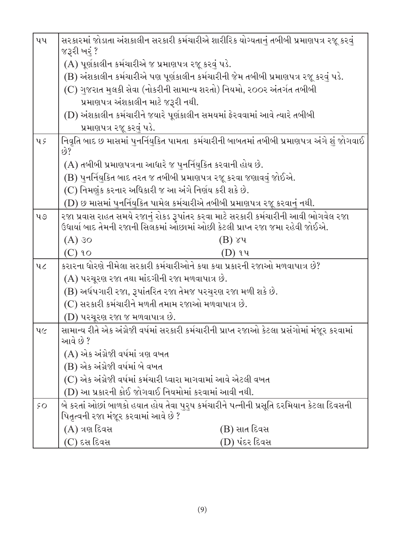| પપ                | સરકારમાં જોડાતા અંશકાલીન સરકારી કર્મચારીએ શારીરિક યોગ્યતાનું તબીબી પ્રમાણપત્ર રજૂ કરવું<br>જરૂરી ખરું ?                                                             |  |  |
|-------------------|---------------------------------------------------------------------------------------------------------------------------------------------------------------------|--|--|
|                   | (A) પૂર્ણકાલીન કર્મચારીએ જ પ્રમાણપત્ર રજૂ કરવું પડે.                                                                                                                |  |  |
|                   | (B) અંશકાલીન કર્મચારીએ પણ પૂર્ણકાલીન કર્મચારીની જેમ તબીબી પ્રમાણપત્ર રજૂ કરવું પડે.                                                                                 |  |  |
|                   | (C) ગુજરાત મુલકી સેવા (નોકરીની સામાન્ય શરતો) નિયમો, ૨૦૦૨ અંતર્ગત તબીબી                                                                                              |  |  |
|                   | પ્રમાણપત્ર અંશકાલીન માટે જરૂરી નથી.                                                                                                                                 |  |  |
|                   | (D) અંશકાલીન કર્મચારીને જયારે પૂર્ણકાલીન સમયમાં ફેરવવામાં આવે ત્યારે તબીબી                                                                                          |  |  |
|                   | પ્રમાણપત્ર રજૂ કરવું પડે.                                                                                                                                           |  |  |
| $\mathbf{u} \in$  | નિવૃતિ બાદ છ માસમાં પુનર્નિયુકિત પામતા  કર્મચારીની બાબતમાં તબીબી પ્રમાણપત્ર અંગે શું જોગવાઈ<br>છે?                                                                  |  |  |
|                   | (A) તબીબી પ્રમાણપત્રના આધારે જ પુનર્નિયુકિત કરવાની હોય છે.                                                                                                          |  |  |
|                   | (B) પુનર્નિયુકિત બાદ તરત જ તબીબી પ્રમાણપત્ર રજૂ કરવા જણાવવું જોઈએ.                                                                                                  |  |  |
|                   | (C) નિમણુંક કરનાર અધિકારી જ આ અંગે નિર્ણય કરી શકે છે.                                                                                                               |  |  |
|                   | (D) છ માસમાં પુનર્નિયુકિત પામેલ કર્મચારીએ તબીબી પ્રમાણપત્ર રજૂ કરવાનું નથી.                                                                                         |  |  |
| $\mathbf{u}\circ$ | રજા પ્રવાસ રાહત સમયે રજાનું રોકડ રૂપાંતર કરવા માટે સરકારી કર્મચારીની આવી ભોગવેલ રજા<br>ઉધાર્યા બાદ તેમની રજાની સિલકમાં ઓછામાં ઓછી કેટલી પ્રાપ્ત રજા જમા રહેવી જોઈએ. |  |  |
|                   | $(A)$ 30<br>$(B)$ ૪૫                                                                                                                                                |  |  |
|                   | $(C)$ 90<br>(D) ૧૫                                                                                                                                                  |  |  |
| 46                | કરારના ધોરણે નીમેલા સરકારી કર્મચારીઓને કયા કયા પ્રકારની રજાઓ મળવાપાત્ર છે?                                                                                          |  |  |
|                   | (A) પરચૂરણ રજા તથા માંદગીની રજા મળવાપાત્ર છે.                                                                                                                       |  |  |
|                   | (B) અર્ધપગારી રજા, રૂપાંતરિત રજા તેમજ પરચુરણ રજા મળી શકે છે.                                                                                                        |  |  |
|                   | (C) સરકારી કર્મચારીને મળતી તમામ રજાઓ મળવાપાત્ર છે.                                                                                                                  |  |  |
|                   | $(D)$ પરચૂરણ રજા જ મળવાપાત્ર છે.                                                                                                                                    |  |  |
| $\mathcal{U}$     | સામાન્ય રીતે એક અંગ્રેજી વર્ષમાં સરકારી કર્મચારીની પ્રાપ્ત રજાઓ કેટલા પ્રસંગોમાં મંજૂર કરવામાં<br>આવે છે ?                                                          |  |  |
|                   | (A) એક અંગ્રેજી વર્ષમાં ત્રણ વખત                                                                                                                                    |  |  |
|                   | (B) એક અંગ્રેજી વર્ષમાં બે વખત                                                                                                                                      |  |  |
|                   | (C) એક અંગ્રેજી વર્ષમાં કર્મચારી ધ્વારા માગવામાં આવે એટલી વખત                                                                                                       |  |  |
|                   | (D) આ પ્રકારની કોઈ જોગવાઈ નિયમોમાં કરવામાં આવી નથી.                                                                                                                 |  |  |
| $\mathcal{S}$ O   | બે કરતાં ઓછાં બાળકો હયાત હોય તેવા પુરૃષ કર્મચારીને પત્નીની પ્રસૂતિ દરમિયાન કેટલા દિવસની<br>પિતૃત્વની રજા મંજૂર કરવામાં આવે છે ?                                     |  |  |
|                   | (A) ત્રણ દિવસ<br>(B) સાત દિવસ                                                                                                                                       |  |  |
|                   | (C) દસ દિવસ<br>(D) પંદર દિવસ                                                                                                                                        |  |  |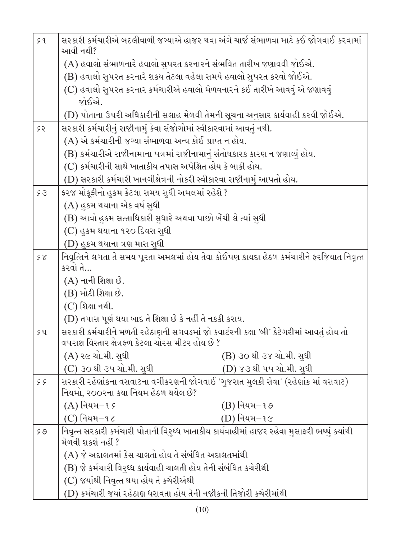| 59           | સરકારી કર્મચારીએ બદલીવાળી જગ્યાએ હાજર થવા અંગે ચાર્જ સંભાળવા માટે કઈ જોગવાઈ કરવામાં<br>આવી નથી?                            |  |  |
|--------------|----------------------------------------------------------------------------------------------------------------------------|--|--|
|              | (A) હવાલો સંભાળનારે હવાલો સુપરત કરનારને સંભવિત તારીખ જણાવવી જોઈએ.                                                          |  |  |
|              | (B) હવાલો સુપરત કરનારે શકય તેટલા વહેલા સમયે હવાલો સુપરત કરવો જોઈએ.                                                         |  |  |
|              | (C) હવાલો સુપરત કરનાર કર્મચારીએ હવાલો મેળવનારને કઈ તારીખે આવવું એ જણાવવું                                                  |  |  |
|              | જોઈએ.                                                                                                                      |  |  |
|              | (D) પોતાના ઉપરી અધિકારીની સલાહ મેળવી તેમની સૂચના અનુસાર કાર્યવાહી કરવી જોઈએ.                                               |  |  |
| 55           | સરકારી કર્મચારીનું રાજીનામું કેવા સંજોગોમાં સ્વીકારવામાં આવતું નથી.                                                        |  |  |
|              | (A) એ કર્મચારીની જગ્યા સંભાળવા અન્ય કોઈ પ્રાપ્ત ન હોય.                                                                     |  |  |
|              | (B) કર્મચારીએ રાજીનામાના પત્રમાં રાજીનામાનું સંતોષકારક કારણ ન જણાવ્યું હોય.                                                |  |  |
|              | (C) કર્મચારીની સાથે ખાતાકીય તપાસ અપેક્ષિત હોય કે બાકી હોય.                                                                 |  |  |
|              | (D) સરકારી કર્મચારી ખાનગીક્ષેત્રની નોકરી સ્વીકારવા રાજીનામું આપતો હોય.                                                     |  |  |
| 53           | ફરજ મોકૂફીનો હુકમ કેટલા સમય સુધી અમલમાં રહેશે ?                                                                            |  |  |
|              | (A) હુકમ થયાના એક વર્ષ સુધી                                                                                                |  |  |
|              | (B) આવો હુકમ સત્તાધિકારી સુધારે અથવા પાછો ખેંચી લે ત્યાં સુધી                                                              |  |  |
|              | (C) હુકમ થયાના ૧૨૦ દિવસ સુધી                                                                                               |  |  |
|              | $(D)$ હુકમ થયાના ત્રણ માસ સુધી                                                                                             |  |  |
| $\zeta \chi$ | નિવૃત્તિને લગતા તે સમય પૂરતા અમલમાં હોય તેવા કોઈપણ કાયદા હેઠળ કર્મચારીને ફરજિયાત નિવૃત્ત                                   |  |  |
|              | કરવો તે…                                                                                                                   |  |  |
|              | $(A)$ નાની શિક્ષા છે.                                                                                                      |  |  |
|              | (B) મોટી શિક્ષા છે.                                                                                                        |  |  |
|              | $(C)$ શિક્ષા નથી.                                                                                                          |  |  |
|              | (D) તપાસ પૂર્ણ થયા બાદ તે શિક્ષા છે કે નહીં તે નકકી કરાય.                                                                  |  |  |
| 54           | સરકારી કર્મચારીને મળતી રહેઠાણની સગવડમાં જો કવાર્ટરની કક્ષા 'બી' કેટેગરીમાં આવતું હોય તો                                    |  |  |
|              | વપરાશ વિસ્તાર ક્ષેત્રફળ કેટલા ચોરસ મીટર હોય છે ?                                                                           |  |  |
|              | (A) ર૯ ચો.મી. સુધી<br>(B) ૩૦ થી ૩૪ ચો.મી. સુધી                                                                             |  |  |
|              | (C) ૩૦ થી ૩૫ ચો.મી. સુધી<br>(D) ૪૩ થી પપ ચો.મી. સુધી                                                                       |  |  |
| 55           | સરકારી રહેણાંકના વસવાટના વર્ગીકરણની જોગવાઈ 'ગુજરાત મુલકી સેવા' (રહેણાંક માં વસવાટ)<br>નિયમો, ર૦૦રના કયા નિયમ હેઠળ થયેલ છે? |  |  |
|              | $(A)$ નિયમ $-15$<br>$(B)$ નિયમ $-$ ૧૭                                                                                      |  |  |
|              | $(C)$ નિયમ $-1$ ૮<br>(D) નિયમ−૧૯                                                                                           |  |  |
| 59           | નિવૃત્ત સરકારી કર્મચારી પોતાની વિરુધ્ધ ખાતાકીય કાર્યવાહીમાં હાજર રહેવા મુસાફરી ભથ્થું ક્યાંથી                              |  |  |
|              | મેળવી શકશે નહીં ?                                                                                                          |  |  |
|              | (A) જે અદાલતમાં કેસ ચાલતો હોય તે સંબંધિત અદાલતમાંથી                                                                        |  |  |
|              | (B) જે કર્મચારી વિરુધ્ધ કાર્યવાહી ચાલતી હોય તેની સંબંધિત કચેરીથી                                                           |  |  |
|              | (C) જયાંથી નિવૃત્ત થયા હોય તે કચેરીએથી                                                                                     |  |  |
|              | (D) કર્મચારી જયાં રહેઠાણ ધરાવતા હોય તેની નજીકની તિજોરી કચેરીમાંથી                                                          |  |  |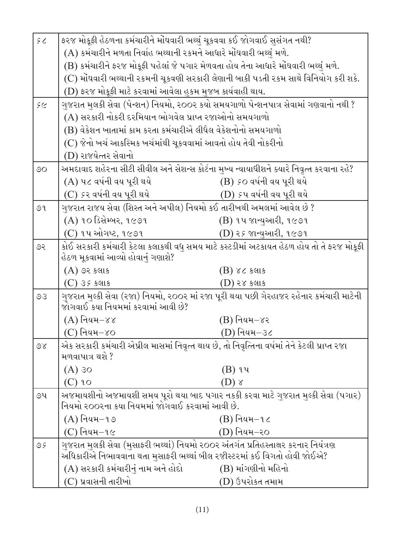| 56       | ફરજ મોકૂફી હેઠળના કર્મચારીને મોંઘવારી ભથ્થું ચૂકવવા કઈ જોગવાઈ સુસંગત નથી?                                                      |                                   |  |
|----------|--------------------------------------------------------------------------------------------------------------------------------|-----------------------------------|--|
|          | (A) કર્મચારીને મળતા નિર્વાહ ભથ્થાની રકમને આધારે મોંઘવારી ભથ્થું મળે.                                                           |                                   |  |
|          | (B) કર્મચારીને ફરજ મોકૂફી પહેલાં જે પગાર મેળવતા હોય તેના આધારે મોંઘવારી ભથ્થું મળે.                                            |                                   |  |
|          | (C) મોંઘવારી ભથ્થાની રકમની ચૂકવણી સરકારી લેણાની બાકી પડતી રકમ સાથે વિનિયોગ કરી શકે.                                            |                                   |  |
|          | (D) ફરજ મોકૂફી માટે કરવામાં આવેલા હુકમ મુજબ કાર્યવાહી થાય.                                                                     |                                   |  |
| 56       | ગુજરાત મુલકી સેવા (પેન્શન) નિયમો, ૨૦૦૨ કયો સમયગાળો પેન્શનપાત્ર સેવામાં ગણવાનો નથી ?                                            |                                   |  |
|          | (A) સરકારી નોકરી દરમિયાન ભોગવેલ પ્રાપ્ત રજાઓનો સમયગાળો                                                                         |                                   |  |
|          | (B) વેકેશન ખાતામાં કામ કરતા કર્મચારીએ લીધેલ વેકેશનોનો સમયગાળો                                                                  |                                   |  |
|          | (C) જેનો ખર્ચ આકસ્મિક ખર્ચમાંથી ચૂકવવામાં આવતો હોય તેવી નોકરીનો                                                                |                                   |  |
|          | (D) રાજયેત્તર સેવાનો                                                                                                           |                                   |  |
| $\circ$  | અમદાવાદ શહેરના સીટી સીવીલ અને સેશન્સ કોર્ટના મુખ્ય ન્યાયાધીશને ક્યારે નિવૃત્ત કરવાના રહે?                                      |                                   |  |
|          | (A) પ૮ વર્ષની વય પૂરી થયે                                                                                                      | (B) so વર્ષની વય પૂરી થયે         |  |
|          | (C) કર વર્ષની વય પૂરી થયે                                                                                                      | (D) <i>૬</i> પ વર્ષની વય પૂરી થયે |  |
| 99       | ગુજરાત રાજય સેવા (શિસ્ત અને અપીલ) નિયમો કઈ તારીખથી અમલમાં આવેલ છે ?                                                            |                                   |  |
|          | (A) ૧૦ ડિસેમ્બર, ૧૯૭૧                                                                                                          | (B) ૧૫ જાન્યુઆરી, ૧૯૭૧            |  |
|          | (C) ૧૫ ઓગષ્ટ, ૧૯૭૧                                                                                                             | (D) ૨ <i>૬</i> જાન્યુઆરી, ૧૯૭૧    |  |
| ૭૨       | કોઈ સરકારી કર્મચારી કેટલા કલાકથી વધુ સમય માટે કસ્ટડીમાં અટકાયત હેઠળ હોય તો તે ફરજ મોકૂફી                                       |                                   |  |
|          | હેઠળ મૂકવામાં આવ્યો હોવાનું ગણાશે?                                                                                             |                                   |  |
|          | $(A)$ ૭૨ કલાક                                                                                                                  | (B) ૪૮ કલાક                       |  |
|          | $(C)$ ૩૬ કલાક                                                                                                                  | (D) ૨૪ કલાક                       |  |
| 50       | ગુજરાત મુલ્કી સેવા (રજા) નિયમો, ર૦૦ર માં રજા પૂરી થયા પછી ગેરહાજર રહેનાર કર્મચારી માટેની<br>જોગવાઈ કયા નિયમમાં કરવામાં આવી છે? |                                   |  |
|          | $(A)$ નિયમ $-\gamma\gamma$                                                                                                     | (B) નિયમ–૪ર                       |  |
|          | (C) નિયમ−૪૦                                                                                                                    | (D) નિયમ−૩૮                       |  |
| $\delta$ | એક સરકારી કર્મચારી એપ્રીલ માસમાં નિવૃત્ત થાય છે, તો નિવૃત્તિના વર્ષમાં તેને કેટલી પ્રાપ્ત રજા                                  |                                   |  |
|          | મળવાપાત્ર થશે ?                                                                                                                |                                   |  |
|          | $(A)$ 30                                                                                                                       | $(B)$ ૧૫                          |  |
|          | $(C)$ 20                                                                                                                       | $(D)$ $\chi$                      |  |
| ৩૫       | અજમાયશીનો અજમાયશી સમય પૂરો થયા બાદ પગાર નકકી કરવા માટે ગુજરાત મુલ્કી સેવા (પગાર)                                               |                                   |  |
|          | નિયમો ૨૦૦૨ના કયા નિયમમાં જોગવાઈ કરવામાં આવી છે.                                                                                |                                   |  |
|          | $(A)$ નિયમ $-1$ ૭                                                                                                              | $(B)$ નિયમ $- \iota$ ૮            |  |
|          | $(C)$ નિયમ $-$ ૧૯                                                                                                              | (D) નિયમ–ર૦                       |  |
| 95       | ગુજરાત મુલકી સેવા (મુસાફરી ભથ્થાં) નિયમો ૨૦૦૨ અંતર્ગત પ્રતિહસ્તાક્ષર કરનાર નિયંત્રણ                                            |                                   |  |
|          | અધિકારીએ નિભાવવાના થતા મુસાફરી ભથ્થાં બીલ રજીસ્ટરમાં કઈ વિગતો હોવી જોઈએ?                                                       |                                   |  |
|          | (A) સરકારી કર્મચારીનું નામ અને હોદો                                                                                            | (B) માંગણીનો મહિનો                |  |
|          | (C) પ્રવાસની તારીખો                                                                                                            | (D) ઉપરોકત તમામ                   |  |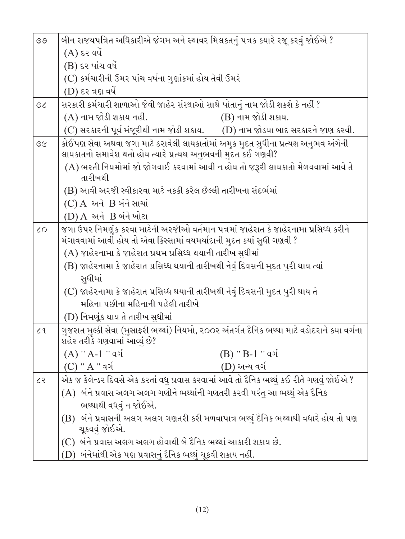| $\circledcirc$ | બીન રાજયપત્રિત અધિકારીએ જંગમ અને સ્થાવર મિલકતનું પત્રક ક્યારે રજૂ કરવું જોઈએ ?                                                                                 |  |  |
|----------------|----------------------------------------------------------------------------------------------------------------------------------------------------------------|--|--|
|                | $(A)$ દર વર્ષે                                                                                                                                                 |  |  |
|                | $(B)$ દર પાંચ વર્ષે                                                                                                                                            |  |  |
|                | (C) કર્મચારીની ઉંમર પાંચ વર્ષના ગુણાંકમાં હોય તેવી ઉંમરે                                                                                                       |  |  |
|                | $(D)$ દર ત્રણ વર્ષે                                                                                                                                            |  |  |
| 9<             | સરકારી કર્મચારી શાળાઓ જેવી જાહેર સંસ્થાઓ સાથે પોતાનું નામ જોડી શકશે કે નહીં ?                                                                                  |  |  |
|                | (A) નામ જોડી શકાય નહીં.<br>$(B)$ નામ જોડી શકાય.                                                                                                                |  |  |
|                | (C) સરકારની પૂર્વ મંજૂરીથી નામ જોડી શકાય. $\qquad$ (D) નામ જોડયા બાદ સરકારને જાણ કરવી.                                                                         |  |  |
| 9C             | કોઈપણ સેવા અથવા જગા માટે ઠરાવેલી લાયકાતોમાં અમુક મુદત સુધીના પ્રત્યક્ષ અનુભવ અંગેની<br>લાયકાતનો સમાવેશ થતો હોય ત્યારે પ્રત્યક્ષ અનુભવની મુદત કઈ ગણવી?          |  |  |
|                | (A) ભરતી નિયમોમાં જો જોગવાઈ કરવામાં આવી ન હોય તો જરૂરી લાયકાતો મેળવવામાં આવે તે<br>તારીખથી                                                                     |  |  |
|                | (B) આવી અરજી સ્વીકારવા માટે નકકી કરેલ છેલ્લી તારીખના સંદર્ભમાં                                                                                                 |  |  |
|                | (C) A અને B બંને સાચાં                                                                                                                                         |  |  |
|                | (D) A અને B બંને ખોટા                                                                                                                                          |  |  |
| $\overline{c}$ | જગા ઉપર નિમણંક કરવા માટેની અરજીઓ વર્તમાન પત્રમાં જાહેરાત કે જાહેરનામા પ્રસિધ્ધ કરીને<br>મંગાવવામાં આવી હોય તો એવા કિસ્સામાં વયમર્યાદાની મુદત ક્યાં સુધી ગણવી ? |  |  |
|                | (A) જાહેરનામા કે જાહેરાત પ્રથમ પ્રસિધ્ધ થયાની તારીખ સુધીમાં                                                                                                    |  |  |
|                | (B) જાહેરનામા કે જાહેરાત પ્રસિધ્ધ થયાની તારીખથી નેવું દિવસની મુદત પુરી થાય ત્યાં                                                                               |  |  |
|                | સુધીમાં                                                                                                                                                        |  |  |
|                | (C) જાહેરનામા કે જાહેરાત પ્રસિધ્ધ થયાની તારીખથી નેવું દિવસની <u>મુ</u> દત પુરી થાય તે                                                                          |  |  |
|                | મહિના પછીના મહિનાની પહેલી તારીખે                                                                                                                               |  |  |
|                | (D) નિમણૂંક થાય તે તારીખ સુધીમાં                                                                                                                               |  |  |
| 22             | ગુજરાત મુલ્કી સેવા (મુસાફરી ભથ્થાં) નિયમો, ૨૦૦૨ અંતર્ગત દૈનિક ભથ્થા માટે વડોદરાને કયા વર્ગના<br>શહેર તરીકે ગણવામાં આવ્યું છે?                                  |  |  |
|                | $(A)$ '' A-1 '' વર્ગ<br>$(B)$ '' B-1 '' વર્ગ                                                                                                                   |  |  |
|                | $(C)$ '' $A$ '' વર્ગ<br>(D) અન્ય વર્ગ                                                                                                                          |  |  |
| ८२             | એક જ કેલેન્ડર દિવસે એક કરતાં વધુ પ્રવાસ કરવામાં આવે તો દૈનિક ભથ્થું કઈ રીતે ગણવું જોઈએ ?                                                                       |  |  |
|                | $(A)$ બંને પ્રવાસ અલગ અલગ ગણીને ભથ્થાંની ગણતરી કરવી પરંતુ આ ભથ્થું એક દૈનિક                                                                                    |  |  |
|                | ભથ્થાથી વધવું ન જોઈએ.                                                                                                                                          |  |  |
|                | (B) બંને પ્રવાસની અલગ અલગ ગણતરી કરી મળવાપાત્ર ભથ્થું દૈનિક ભથ્થાથી વધારે હોય તો પણ<br>ચૂકવવું જોઈએ.                                                            |  |  |
|                | (C) બંને પ્રવાસ અલગ અલગ હોવાથી બે દૈનિક ભથ્થાં આકારી શકાય છે.                                                                                                  |  |  |
|                | (D) બંનેમાંથી એક પણ પ્રવાસનું દૈનિક ભથ્થું ચૂકવી શકાય નહીં.                                                                                                    |  |  |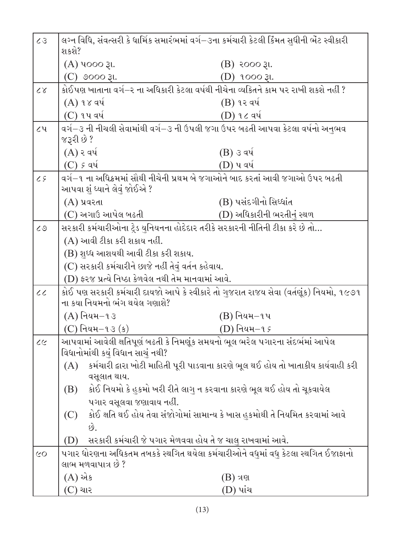| 55                                                                                                   | લગ્ન વિધિ, સંવત્સરી કે ધાર્મિક સમારંભમાં વર્ગ−૩ના કર્મચારી કેટલી કિંમત સુધીની ભેંટ સ્વીકારી<br>શકશે?                     |                                                                                    |  |
|------------------------------------------------------------------------------------------------------|--------------------------------------------------------------------------------------------------------------------------|------------------------------------------------------------------------------------|--|
|                                                                                                      | (A) 4000 રૂા.                                                                                                            | $(B)$ ૨૦૦૦ રૂા.                                                                    |  |
|                                                                                                      | (C) ૭૦૦૦ રૂા.                                                                                                            | (D) 1000 રૂા.                                                                      |  |
| $\alpha$                                                                                             | કોઈપણ ખાતાના વર્ગ−ર ના અધિકારી કેટલા વર્ષથી નીચેના વ્યકિતને કામ પર રાખી શકશે નહીં ?                                      |                                                                                    |  |
|                                                                                                      | $(A)$ ૧૪ વર્ષ                                                                                                            | $(B)$ ૧૨ વર્ષ                                                                      |  |
|                                                                                                      | (C) ૧૫ વર્ષ                                                                                                              | (D) ૧૮ વર્ષ                                                                        |  |
| ૮૫                                                                                                   | વર્ગ−૩ ની નીચલી સેવામાંથી વર્ગ−૩ ની ઉપલી જગા ઉપર બઢતી આપવા કેટલા વર્ષનો અનુભવ                                            |                                                                                    |  |
|                                                                                                      | જરૂરી છે ?                                                                                                               |                                                                                    |  |
|                                                                                                      | $(A)$ ર વર્ષ                                                                                                             | (B) ૩ વર્ષ                                                                         |  |
|                                                                                                      | $(C)$ ક વર્ષ                                                                                                             | (D) પ વર્ષ                                                                         |  |
| વર્ગ−૧ ના અધિક્રમમાં સૌથી નીચેની પ્રથમ બે જગાઓને બાદ કરતાં આવી જગાઓ ઉપર બઢતી<br>25                   |                                                                                                                          |                                                                                    |  |
|                                                                                                      | આપવા શું ધ્યાને લેવું જોઈએ ?                                                                                             |                                                                                    |  |
|                                                                                                      | $(A)$ પ્રવરતા                                                                                                            | (B) પસંદગીનો સિધ્ધાંત                                                              |  |
|                                                                                                      | (C) અગાઉ આપેલ બઢતી                                                                                                       | (D) અધિકારીની ભરતીનું સ્થળ                                                         |  |
| $\mathcal{L} \mathcal{Q}$                                                                            | સરકારી કર્મચારીઓના ટ્રેડ યુનિયનના હોદેદાર તરીકે સરકારની નીતિની ટીકા કરે છે તો                                            |                                                                                    |  |
|                                                                                                      | (A) આવી ટીકા કરી શકાય નહીં.                                                                                              |                                                                                    |  |
|                                                                                                      | (B) શુધ્ધ આશયથી આવી ટીકા કરી શકાય.                                                                                       |                                                                                    |  |
| (C) સરકારી કર્મચારીને છાજે નહીં તેવું વર્તન કહેવાય.                                                  |                                                                                                                          |                                                                                    |  |
|                                                                                                      | (D) ફરજ પ્રત્યે નિષ્ઠા કેળવેલ નથી તેમ માનવામાં આવે.                                                                      |                                                                                    |  |
| $\mathcal{C}$                                                                                        | કોઈ પણ સરકારી કર્મચારી દાયજો આપે કે સ્વીકારે તો ગુજરાત રાજય સેવા (વર્તણૂંક) નિયમો, ૧૯૭૧<br>ના કયા નિયમનો ભંગ થયેલ ગણાશે? |                                                                                    |  |
|                                                                                                      | $(A)$ નિયમ $-13$                                                                                                         | $(B)$ નિયમ $-$ ૧૫                                                                  |  |
|                                                                                                      | $(C)$ નિયમ $-$ ૧૩ (ક)                                                                                                    | (D) નિયમ−૧ <i>૬</i>                                                                |  |
| 22                                                                                                   | આપવામાં આવેલી ક્ષતિપૂર્ણ બઢતી કે નિમણૂંક સમયનો ભૂલ ભરેલ પગારના સંદર્ભમાં આપેલ<br>વિધાનોમાંથી કયું વિધાન સાચું નથી?       |                                                                                    |  |
|                                                                                                      | (A)                                                                                                                      | કર્મચારી દ્વારા ખોટી માહિતી પૂરી પાડવાના કારણે ભૂલ થઈ હોય તો ખાતાકીય કાર્યવાહી કરી |  |
| વસૂલાત થાય.                                                                                          |                                                                                                                          |                                                                                    |  |
|                                                                                                      | કોઈ નિયમો કે હુકમો ખરી રીતે લાગુ ન કરવાના કારણે ભૂલ થઈ હોય તો ચૂકવાયેલ<br>(B)<br>પગાર વસૂલવા જણાવાય નહીં.                |                                                                                    |  |
|                                                                                                      |                                                                                                                          |                                                                                    |  |
|                                                                                                      | (C)                                                                                                                      | કોઈ ક્ષતિ થઈ હોય તેવા સંજોગોમાં સામાન્ય કે ખાસ હુકમોથી તે નિયમિત કરવામાં આવે       |  |
|                                                                                                      | છે.                                                                                                                      |                                                                                    |  |
|                                                                                                      | સરકારી કર્મચારી જે પગાર મેળવવા હોય તે જ ચાલુ રાખવામાં આવે.<br>(D)                                                        |                                                                                    |  |
| પગાર ધોરણના અધિકતમ તબકકે સ્થગિત થયેલા કર્મચારીઓને વધુમાં વધુ કેટલા સ્થગિત ઈજાફાનો<br>$\overline{CO}$ |                                                                                                                          |                                                                                    |  |
|                                                                                                      | લાભ મળવાપાત્ર છે ?                                                                                                       |                                                                                    |  |
|                                                                                                      | (A) એક                                                                                                                   | (B) ત્રણ                                                                           |  |
|                                                                                                      | (C) ચાર                                                                                                                  | (D) પાંચ                                                                           |  |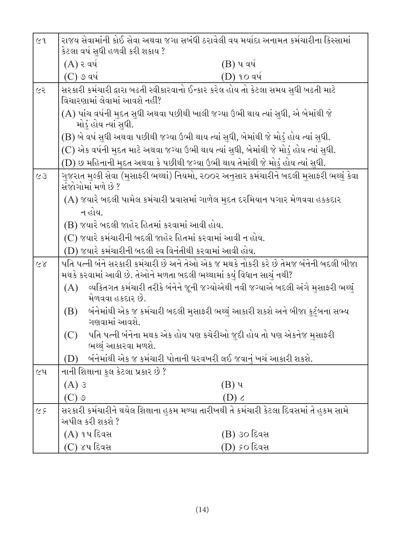| C <sub>1</sub>                                                          | રાજય સેવામાંની કોઈ સેવા અથવા જગા સબંધી ઠરાવેલી વય મર્યાદા અનામત કર્મચારીના કિસ્સામાં<br>કેટલા વર્ષ સુધી હળવી કરી શકાય ?                                       |                                                                               |  |  |
|-------------------------------------------------------------------------|---------------------------------------------------------------------------------------------------------------------------------------------------------------|-------------------------------------------------------------------------------|--|--|
|                                                                         | $(A)$ ર વર્ષ                                                                                                                                                  | (B) પ વર્ષ                                                                    |  |  |
|                                                                         | $(C)$ ૭ વર્ષ                                                                                                                                                  | (D) ૧૦ વર્ષ                                                                   |  |  |
| ૯૨                                                                      | સરકારી કર્મચારી દ્વારા બઢતી સ્વીકારવાનો ઈન્કાર કરેલ હોય તો કેટલા સમય સુધી બઢતી માટે<br>વિચારણામાં લેવામાં આવશે નહીં?                                          |                                                                               |  |  |
|                                                                         | (A) પાંચ વર્ષની મુદત સુધી અથવા પછીથી ખાલી જગ્યા ઉભી થાય ત્યાં સુધી, એ બેમાંથી જે<br>મોડું હોય ત્યાં સુધી.                                                     |                                                                               |  |  |
|                                                                         | (B) બે વર્ષ સુધી અથવા પછીથી જગ્યા ઉભી થાય ત્યાં સુધી, બેમાંથી જે મોડું હોય ત્યાં સુધી.                                                                        |                                                                               |  |  |
|                                                                         | (C) એક વર્ષની મુદત માટે અથવા જગ્યા ઉભી થાય ત્યાં સુધી, બેમાંથી જે મોડું હોય ત્યાં સુધી.                                                                       |                                                                               |  |  |
|                                                                         | (D) છ મહિનાની મુદત અથવા કે પછીથી જગ્યા ઉભી થાય તેમાંથી જે મોડું હોય ત્યાં સુધી.                                                                               |                                                                               |  |  |
| 55                                                                      | ગુજરાત મુલ્કી સેવા (મુસાફરી ભથ્થાં) નિયમો, ૨૦૦૨ અનુસાર કર્મચારીને બદલી મુસાફરી ભથ્થું કેવા<br>સંજોગોમાં મળે છે ?                                              |                                                                               |  |  |
|                                                                         | (A) જયારે બદલી પામેલ કર્મચારી પ્રવાસમાં ગાળેલ મુદત દરમિયાન પગાર મેળવવા હક્કદાર                                                                                |                                                                               |  |  |
|                                                                         | ન હોય.                                                                                                                                                        |                                                                               |  |  |
|                                                                         | (B) જયારે બદલી જાહેર હિતમાં કરવામાં આવી હોય.                                                                                                                  |                                                                               |  |  |
|                                                                         | (C) જયારે કર્મચારીની બદલી જાહેર હિતમાં કરવામાં આવી ન હોય.                                                                                                     |                                                                               |  |  |
|                                                                         | (D) જયારે કર્મચારીની બદલી સ્વ વિનંતીથી કરવામાં આવી હોય.                                                                                                       |                                                                               |  |  |
| 85                                                                      | પતિ પત્ની બંને સરકારી કર્મચારી છે અને તેઓ એક જ મથકે નોકરી કરે છે તેમજ બંનેની બદલી બીજા<br>મથકે કરવામાં આવી છે. તેઓને મળતા બદલી ભથ્થામાં કયું વિધાન સાચું નથી? |                                                                               |  |  |
|                                                                         | વ્યકિતગત કર્મચારી તરીકે બંનેને જૂની જગ્યોએથી નવી જગ્યાએ બદલી અંગે મુસાફરી ભથ્થું<br>(A)<br>મેળવવા હકદાર છે.                                                   |                                                                               |  |  |
|                                                                         | (B)<br>ગણવામાં આવશે.                                                                                                                                          | બંનેમાંથી એક જ કર્મચારી બદલી મુસાફરી ભથ્થું આકારી શકશે અને બીજા કુટુંબના સભ્ય |  |  |
|                                                                         | પતિ પત્ની બંનેના મથક એક હોય પણ કચેરીઓ જુદી હોય તો પણ એકનેજ મુસાફરી<br>(C)<br>ભથ્થું આકારવા મળશે.                                                              |                                                                               |  |  |
| બંનેમાંથી એક જ કર્મચારી પોતાની ઘરવખરી લઈ જવાનું ખર્ચ આકારી શકશે.<br>(D) |                                                                                                                                                               |                                                                               |  |  |
| ૯૫                                                                      | નાની શિક્ષાના કુલ કેટલા પ્રકાર છે ?                                                                                                                           |                                                                               |  |  |
|                                                                         | $(A)$ 3                                                                                                                                                       | (B) પ                                                                         |  |  |
|                                                                         | $(C)$ ଓ                                                                                                                                                       | $(D)$ $\zeta$                                                                 |  |  |
| 59                                                                      | સરકારી કર્મચારીને થયેલ શિક્ષાના હુકમ મળ્યા તારીખથી તે કર્મચારી કેટલા દિવસમાં તે હુકમ સામે<br>અપીલ કરી શકશે ?                                                  |                                                                               |  |  |
|                                                                         | (A) ૧૫ દિવસ                                                                                                                                                   | (B) ૩૦ દિવસ                                                                   |  |  |
|                                                                         | (C) ૪૫ દિવસ                                                                                                                                                   | (D) <i>૬</i> ૦ દિવસ                                                           |  |  |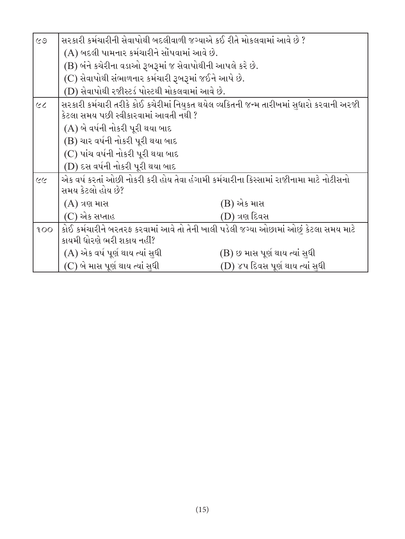| CQ                       | સરકારી કર્મચારીની સેવાપોથી બદલીવાળી જગ્યાએ કઈ રીતે મોકલવામાં આવે છે ?                                                             |                                  |  |  |
|--------------------------|-----------------------------------------------------------------------------------------------------------------------------------|----------------------------------|--|--|
|                          | (A) બદલી પામનાર કર્મચારીને સોંપવામાં આવે છે.                                                                                      |                                  |  |  |
|                          | (B) બંને કચેરીના વડાઓ રૂબરૂમાં જ સેવાપોથીની આપલે કરે છે.                                                                          |                                  |  |  |
|                          | (C) સેવાપોથી સંભાળનાર કર્મચારી રૂબરૂમાં જઈને આપે છે.                                                                              |                                  |  |  |
|                          | (D) સેવાપોથી રજીસ્ટર્ડ પોસ્ટથી મોકલવામાં આવે છે.                                                                                  |                                  |  |  |
| $\overline{\mathcal{L}}$ | સરકારી કર્મચારી તરીકે કોઈ કચેરીમાં નિયુકત થયેલ વ્યકિતની જન્મ તારીખમાં સુધારો કરવાની અરજી<br>કેટલા સમય પછી સ્વીકારવામાં આવતી નથી ? |                                  |  |  |
|                          | (A) બે વર્ષની નોકરી પૂરી થયા બાદ                                                                                                  |                                  |  |  |
|                          | (B) ચાર વર્ષની નોકરી પૂરી થયા બાદ                                                                                                 |                                  |  |  |
|                          | (C) પાંચ વર્ષની નોકરી પૂરી થયા બાદ                                                                                                |                                  |  |  |
|                          | (D) દસ વર્ષની નોકરી પૂરી થયા બાદ                                                                                                  |                                  |  |  |
| $\tilde{z}$              | એક વર્ષ કરતાં ઓછી નોકરી કરી હોય તેવા હંગામી કર્મચારીના કિસ્સામાં રાજીનામા માટે નોટીસનો<br>સમય કેટલો હોય છે?                       |                                  |  |  |
|                          | $(A)$ ત્રણ માસ                                                                                                                    | (B) એક માસ                       |  |  |
|                          | (C) એક સપ્તાહ                                                                                                                     | (D) ત્રણ દિવસ                    |  |  |
| 100                      | કોઈ કર્મચારીને બરતરફ કરવામાં આવે તો તેની ખાલી પડેલી જગ્યા ઓછામાં ઓછું કેટલા સમય માટે                                              |                                  |  |  |
|                          | કાયમી ધોરણે ભરી શકાય નહીં?                                                                                                        |                                  |  |  |
|                          | (A) એક વર્ષ પૂર્ણ થાય ત્યાં સુધી                                                                                                  | (B) છ માસ પૂર્ણ થાય ત્યાં સુધી   |  |  |
|                          | (C) બે માસ પૂર્ણ થાય ત્યાં સુધી                                                                                                   | (D) ૪૫ દિવસ પૂર્ણ થાય ત્યાં સુધી |  |  |